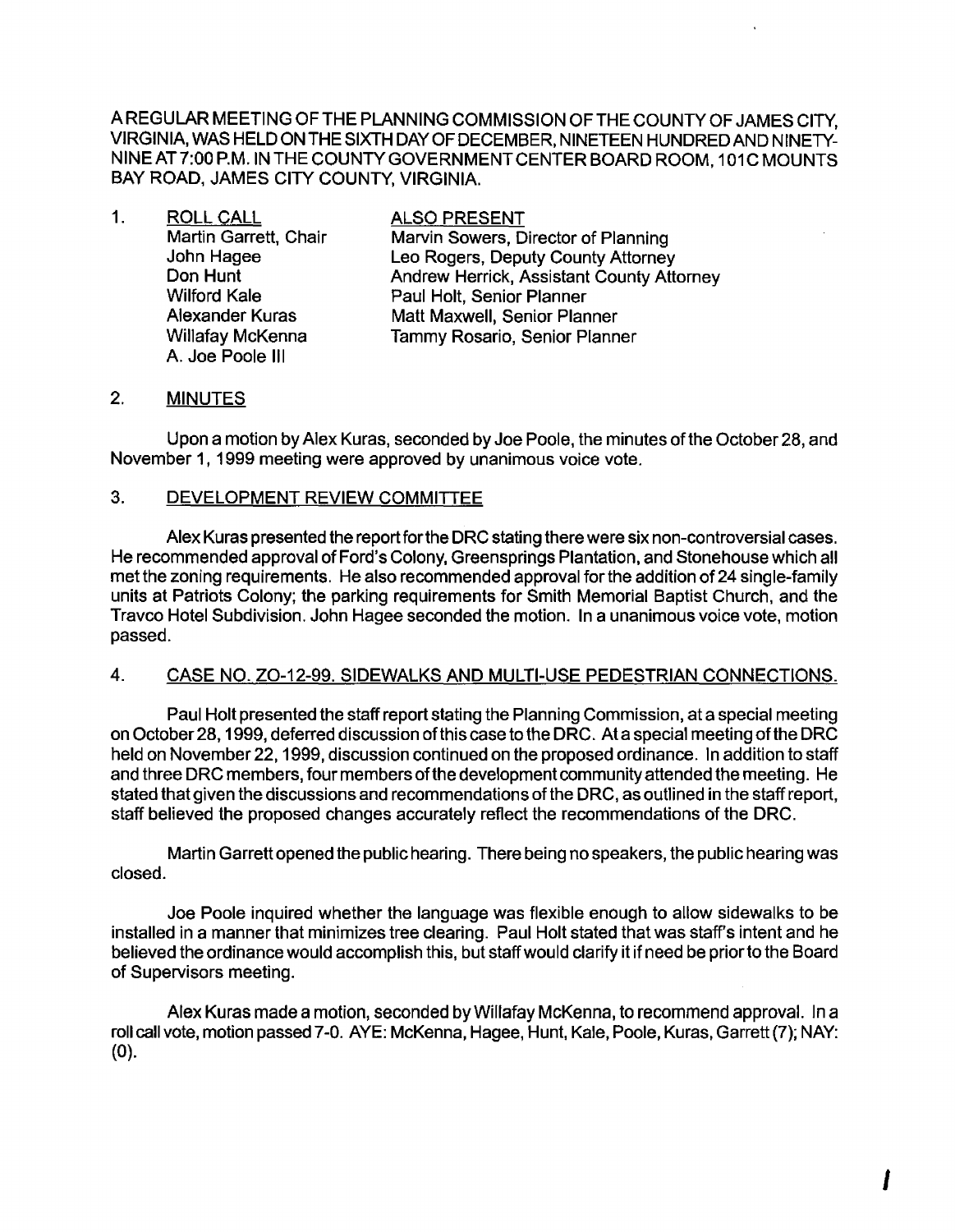A REGULAR MEETING OF THE PLANNING COMMISSION OF THE COUNTY OF JAMES CITY. VIRGINIA, WAS HELD ON THE SIXTH DAYOF DECEMBER, NINETEEN HUNDRED AND NINETY-NINE AT 7:00 P.M. IN THE COUNTY GOVERNMENT CENTER BOARD ROOM, 101C MOUNTS BAY ROAD, JAMES CITY COUNTY, VIRGINIA.

| 1. | <b>ROLL CALL</b>      | <b>ALSO PRESENT</b>                       |
|----|-----------------------|-------------------------------------------|
|    | Martin Garrett, Chair | Marvin Sowers, Director of Planning       |
|    | John Hagee            | Leo Rogers, Deputy County Attorney        |
|    | Don Hunt              | Andrew Herrick, Assistant County Attorney |
|    | <b>Wilford Kale</b>   | Paul Holt, Senior Planner                 |
|    | Alexander Kuras       | Matt Maxwell, Senior Planner              |
|    | Willafay McKenna      | Tammy Rosario, Senior Planner             |
|    | A. Joe Poole III      |                                           |

## 2. MINUTES

Upon a motion by Alex Kuras, seconded by Joe Poole, the minutes ofthe October 28, and November 1, 1999 meeting were approved by unanimous voice vote.

#### 3. DEVELOPMENT REVIEW COMMITTEE

Alex Kuras presented the report for the DRC stating there were six non-controversial cases. He recommended approval of Ford's Colony, Greensprings Plantation, and Stonehouse which all met the zoning requirements. He also recommended approval for the addition of 24 single-family units at Patriots Colony; the parking requirements for Smith Memorial Baptist Church, and the Travco Hotel Subdivision. John Hagee seconded the motion. In a unanimous voice vote, motion passed.

## 4. CASE NO. ZO-12-99. SIDEWALKS AND MULTI-USE PEDESTRIAN CONNECTIONS.

Paul Holt presented the staff report stating the Planning Commission, at a special meeting on October28, 1999, deferred discussion ofthis case to the DRC. Ata special meeting ofthe DRC held on November 22, 1999, discussion continued on the proposed ordinance. In addition to staff and three DRC members, four members of the development community attended the meeting. He stated that given the discussions and recommendations of the DRC, as outlined in the staff report, staff believed the proposed changes accurately reflect the recommendations of the DRC.

Martin Garrett opened the public hearing. There being no speakers, the public hearing was closed.

Joe Poole inquired whether the language was flexible enough to allow sidewalks to be installed in a manner that minimizes tree clearing. Paul Holt stated that was staff's intent and he believed the ordinance would accomplish this, but staff would clarify it if need be priorto the Board of Supervisors meeting.

Alex Kuras made a motion, seconded by Willafay McKenna, to recommend approval. In a roll call vote, motion passed 7-0. AYE: McKenna, Hagee, Hunt, Kale, Poole, Kuras, Garrett (7); NAY: (0).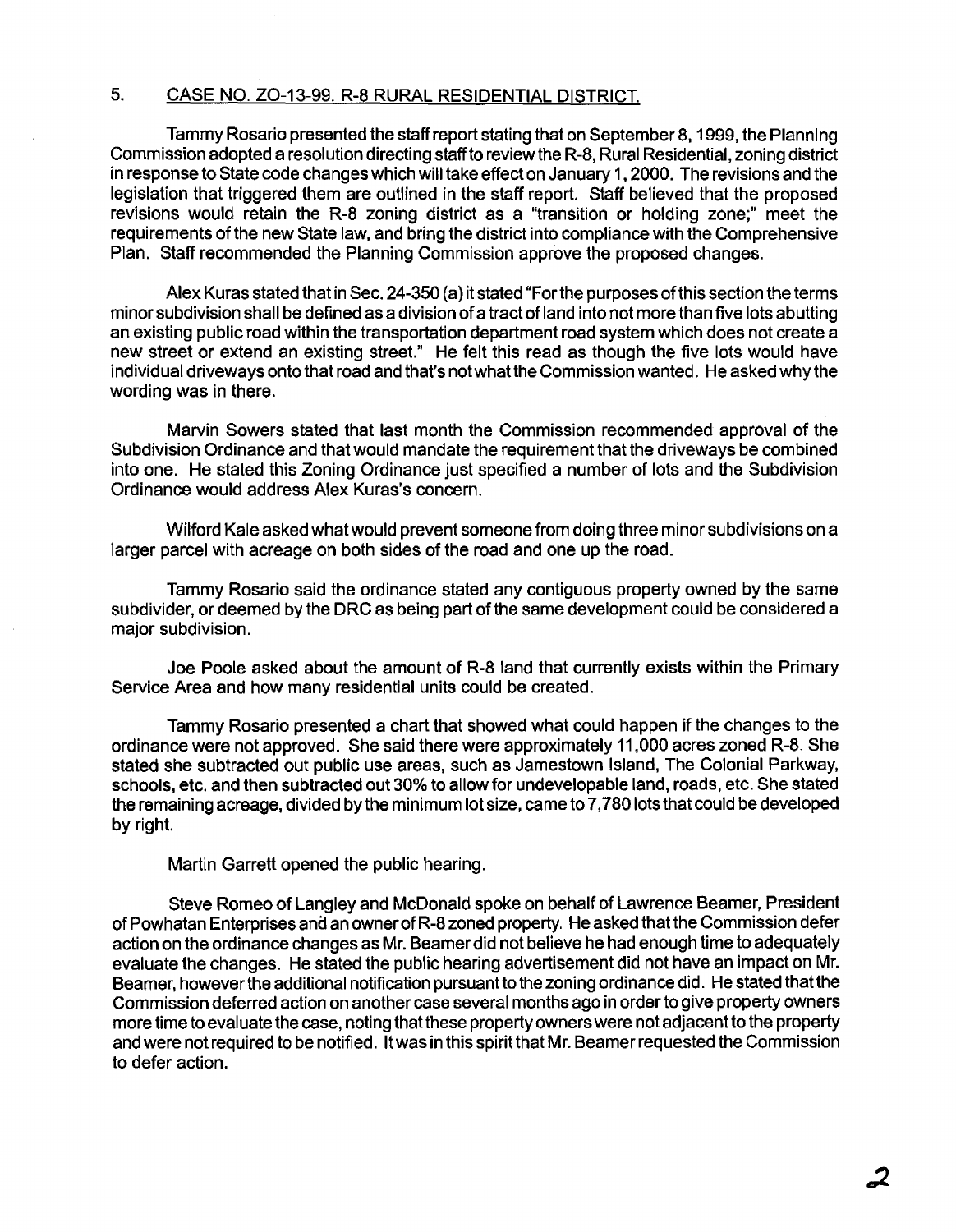# 5. CASE NO. ZO-13-99. R-8 RURAL RESIDENTIAL DISTRICT.

Tammy Rosario presented the staff report stating that on September 8, 1999, the Planning Commission adopted a resolution directing staff to review the R-8, Rural Residential, zoning district in response to State code changes which will take effect on January 1,2000. The revisions and the legislation that triggered them are outlined in the staff report. Staff believed that the proposed revisions would retain the R-8 zoning district as a "transition or holding zone;" meet the requirements of the new State law, and bring the district into compliance with the Comprehensive Plan. Staff recommended the Planning Commission approve the proposed changes.

Alex Kuras stated that in Sec. 24-350 (a) it stated "Forthe purposes ofthis section the terms minor subdivision shall be defined as a division of a tract of land into not more than five lots abutting an existing public road within the transportation department road system which does not create a new street or extend an existing street." He felt this read as though the five lots would have individual driveways onto that road and that's not what the Commission wanted. He asked why the wording was in there.

Marvin Sowers stated that last month the Commission recommended approval of the Subdivision Ordinance and that would mandate the requirement that the driveways be combined into one. He stated this Zoning Ordinance just specified a number of lots and the Subdivision Ordinance would address Alex Kuras's concern.

Wilford Kale asked what would prevent someone from doing three minor subdivisions on a larger parcel with acreage on both sides of the road and one up the road.

Tammy Rosario said the ordinance stated any contiguous property owned by the same subdivider, or deemed by the DRC as being part of the same development could be considered a major subdivision.

Joe Poole asked about the amount of R-8 land that currently exists within the Primary Service Area and how many residential units could be created.

Tammy Rosario presented a chart that showed what could happen if the changes to the ordinance were not approved. She said there were approximately 11,000 acres zoned R-8. She stated she subtracted out public use areas, such as Jamestown Island, The Colonial Parkway, schools, etc. and then subtracted out 30% to allow for undevelopable land, roads, etc. She stated the remaining acreage, divided by the minimum lot size, came to 7,780 lots that could be developed by right

Martin Garrett opened the public hearing.

Steve Romeo of Langley and McDonald spoke on behalf of Lawrence Beamer, President of Powhatan Enterprises and an owner of R-8 zoned property. He asked that the Commission defer action on the ordinance changes as Mr. Beamerdid not believe he had enough time to adequately evaluate the changes. He stated the public hearing advertisement did not have an impact on Mr. Beamer, however the additional notification pursuant to the zoning ordinance did. He stated that the Commission deferred action on another case several months ago in order to give property owners more time to evaluate the case, noting that these property owners were not adjacent to the property and were not required to be notified. It was in this spirit that Mr. Beamerrequested the Commission to defer action.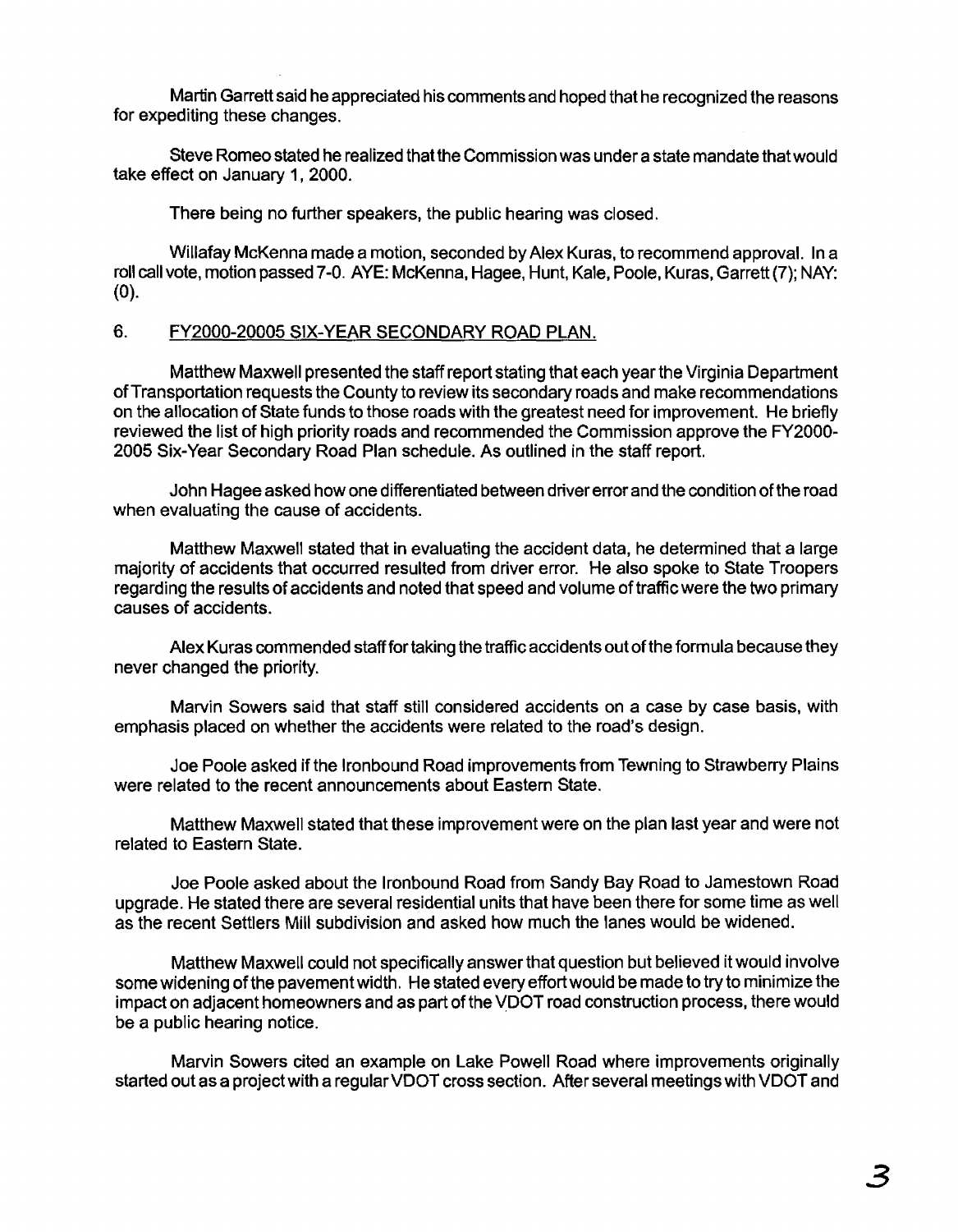Martin Garrett said he appreciated his comments and hoped that he recognized the reasons for expediting these changes.

Steve Romeo stated he realized that the Commission was under a state mandate that would take effect on January 1, 2000.

There being no further speakers, the public hearing was closed.

Willafay McKenna made a motion, seconded by Alex Kuras, to recommend approval. In a roll call vote, motion passed 7-0. AYE: McKenna, Hagee, Hunt, Kale, Poole, Kuras, Garrett (7); NAY: (0).

# 6. FY2000-20005 SIX-YEAR SECONDARY ROAD PLAN.

Matthew Maxwell presented the staff report stating that each year the Virginia Department of Transportation requests the County to review its secondary roads and make recommendations on the allocation of State funds to those roads with the greatest need for improvement. He briefly reviewed the list of high priority roads and recommended the Commission approve the FY2000- 2005 Six-Year Secondary Road Plan schedule. As outlined in the staff report.

John Hagee asked how one differentiated between driver error and the condition of the road when evaluating the cause of accidents.

Matthew Maxwell stated that in evaluating the accident data, he determined that a large majority of accidents that occurred resulted from driver error. He also spoke to State Troopers regarding the results of accidents and noted that speed and volume of traffic were the two primary causes of accidents.

Alex Kuras commended staff for taking the traffic accidents out of the formula because they never changed the priority.

Marvin Sowers said that staff still considered accidents on a case by case basis, with emphasis placed on whether the accidents were related to the road's design.

Joe Poole asked if the Ironbound Road improvements from Tewning to Strawberry Plains were related to the recent announcements about Eastern State.

Matthew Maxwell stated that these improvement were on the plan last year and were not related to Eastern State.

Joe Poole asked about the Ironbound Road from Sandy Bay Road to Jamestown Road upgrade. He stated there are several residential units that have been there for some time as well as the recent Settlers Mill subdivision and asked how much the lanes would be widened.

Matthew Maxwell could not specifically answer that question but believed it would involve some widening ofthe pavement width. He stated every effort would be made to try to minimize the impact on adjacent homeowners and as part of the VDOT road construction process, there would be a public hearing notice.

Marvin Sowers cited an example on Lake Powell Road where improvements originally started out as a project with a regular VDOT cross section. After several meetings with VDOT and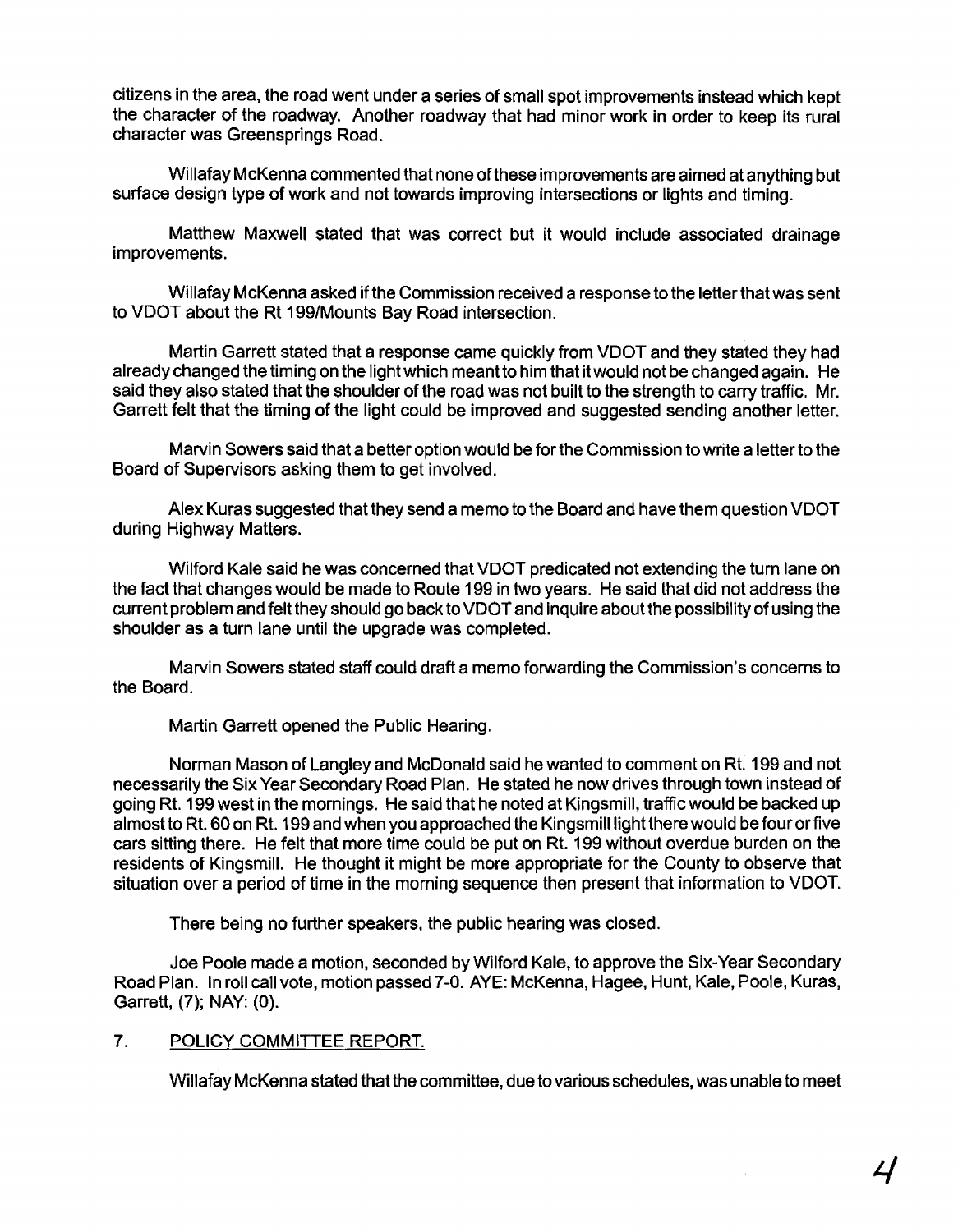citizens in the area, the road went under a series of small spot improvements instead which kept the character of the roadway. Another roadway that had minor work in order to keep its rural character was Greensprings Road.

Willafay McKenna commented that none of these improvements are aimed at anything but surface design type of work and not towards improving intersections or lights and timing.

Matthew Maxwell stated that was correct but it would include associated drainage improvements.

Willafay McKenna asked if the Commission received a response to the letterthat was sent to VDOT about the Rt 199/Mounts Bay Road intersection.

Martin Garrett stated that a response came quickly from VDOT and they stated they had already changed the timing on the light which meant to him that it would not be changed again. He said they also stated that the shoulder of the road was not built to the strength to carry traffic. Mr. Garrett felt that the timing of the light could be improved and suggested sending another letter.

Marvin Sowers said that a better option would be for the Commission to write a letter to the Board of Supervisors asking them to get involved.

Alex Kuras suggested that they send a memo to the Board and have them question VDOT during Highway Matters.

Wilford Kale said he was concerned that VDOT predicated not extending the turn lane on the fact that changes would be made to Route 199 in two years. He said that did not address the current problem and felt they should go back to VDOT and inquire about the possibility of using the shoulder as a turn lane until the upgrade was completed.

Marvin Sowers stated staff could draft a memo forwarding the Commission's concerns to the Board.

Martin Garrett opened the Public Hearing.

Norman Mason of Langley and McDonald said he wanted to comment on Rt. 199 and not necessarily the Six Year Secondary Road Plan. He stated he now drives through town instead of going Rt. 199 west in the mornings. He said that he noted at Kingsmill, traffic would be backed up almost to Rt. 60 on Rt. 199 and when you approached the Kingsmilllight there would be four or five cars sitting there. He felt that more time could be put on Rt. 199 without overdue burden on the residents of Kingsmill. He thought it might be more appropriate for the County to observe that situation over a period of time in the morning sequence then present that information to VDOT.

There being no further speakers, the public hearing was closed.

Joe Poole made a motion, seconded by Wilford Kale, to approve the Six-Year Secondary Road Plan. In roll call vote, motion passed 7-0. AYE: McKenna, Hagee, Hunt, Kale, Poole, Kuras, Garrett, (7); NAY: (0).

#### 7. POLICY COMMITTEE REPORT.

Willafay McKenna stated that the committee, due to various schedules, was unable to meet